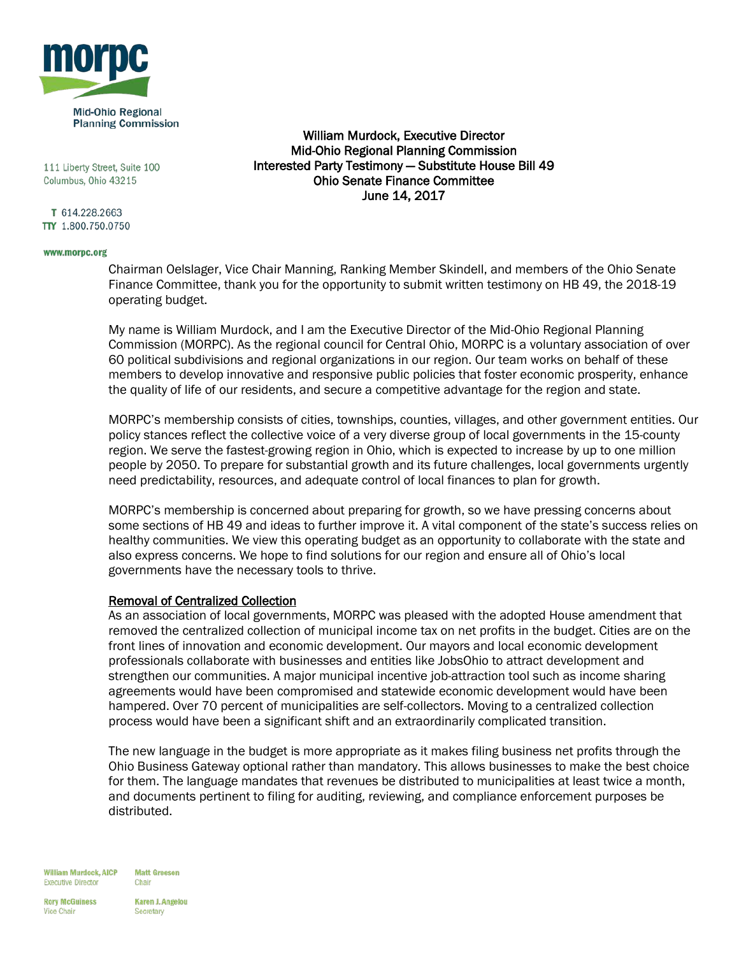

111 Liberty Street, Suite 100 Columbus, Ohio 43215

T 614.228.2663 TTY 1.800.750.0750

#### www.morpc.org

William Murdock, Executive Director Mid-Ohio Regional Planning Commission Interested Party Testimony — Substitute House Bill 49 Ohio Senate Finance Committee June 14, 2017

Chairman Oelslager, Vice Chair Manning, Ranking Member Skindell, and members of the Ohio Senate Finance Committee, thank you for the opportunity to submit written testimony on HB 49, the 2018-19 operating budget.

My name is William Murdock, and I am the Executive Director of the Mid-Ohio Regional Planning Commission (MORPC). As the regional council for Central Ohio, MORPC is a voluntary association of over 60 political subdivisions and regional organizations in our region. Our team works on behalf of these members to develop innovative and responsive public policies that foster economic prosperity, enhance the quality of life of our residents, and secure a competitive advantage for the region and state.

MORPC's membership consists of cities, townships, counties, villages, and other government entities. Our policy stances reflect the collective voice of a very diverse group of local governments in the 15-county region. We serve the fastest-growing region in Ohio, which is expected to increase by up to one million people by 2050. To prepare for substantial growth and its future challenges, local governments urgently need predictability, resources, and adequate control of local finances to plan for growth.

MORPC's membership is concerned about preparing for growth, so we have pressing concerns about some sections of HB 49 and ideas to further improve it. A vital component of the state's success relies on healthy communities. We view this operating budget as an opportunity to collaborate with the state and also express concerns. We hope to find solutions for our region and ensure all of Ohio's local governments have the necessary tools to thrive.

#### Removal of Centralized Collection

As an association of local governments, MORPC was pleased with the adopted House amendment that removed the centralized collection of municipal income tax on net profits in the budget. Cities are on the front lines of innovation and economic development. Our mayors and local economic development professionals collaborate with businesses and entities like JobsOhio to attract development and strengthen our communities. A major municipal incentive job-attraction tool such as income sharing agreements would have been compromised and statewide economic development would have been hampered. Over 70 percent of municipalities are self-collectors. Moving to a centralized collection process would have been a significant shift and an extraordinarily complicated transition.

The new language in the budget is more appropriate as it makes filing business net profits through the Ohio Business Gateway optional rather than mandatory. This allows businesses to make the best choice for them. The language mandates that revenues be distributed to municipalities at least twice a month, and documents pertinent to filing for auditing, reviewing, and compliance enforcement purposes be distributed.

**William Murdock, AICP Executive Director** 

**Matt Greeson** Chair

**Rory McGuiness Vice Chair** 

**Karen J. Angelou** Secretary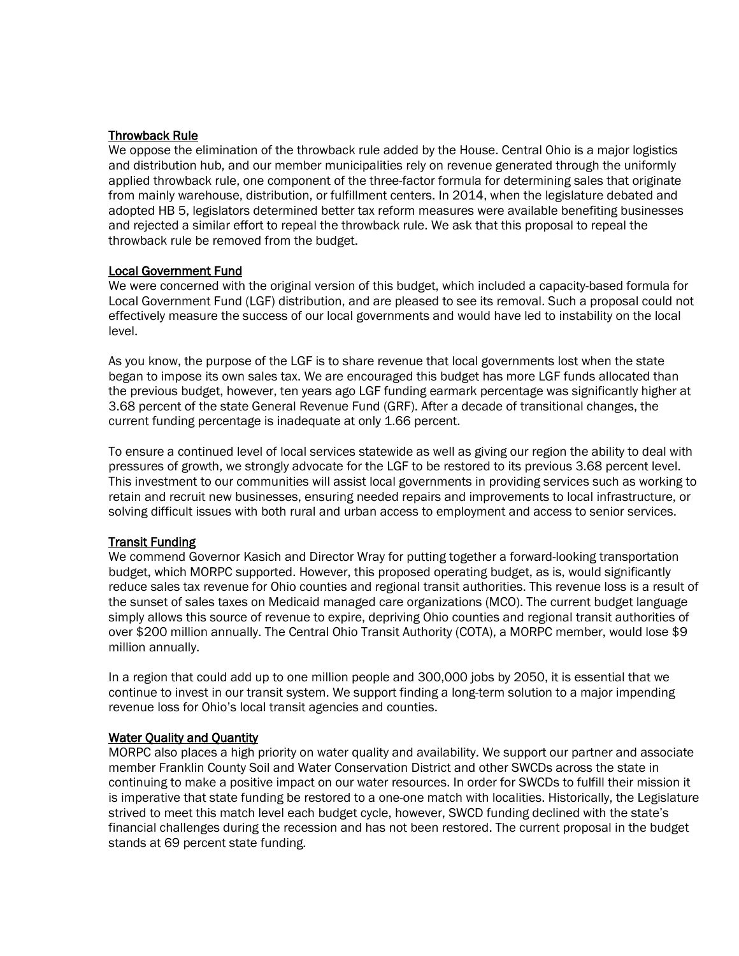# Throwback Rule

We oppose the elimination of the throwback rule added by the House. Central Ohio is a major logistics and distribution hub, and our member municipalities rely on revenue generated through the uniformly applied throwback rule, one component of the three-factor formula for determining sales that originate from mainly warehouse, distribution, or fulfillment centers. In 2014, when the legislature debated and adopted HB 5, legislators determined better tax reform measures were available benefiting businesses and rejected a similar effort to repeal the throwback rule. We ask that this proposal to repeal the throwback rule be removed from the budget.

## Local Government Fund

We were concerned with the original version of this budget, which included a capacity-based formula for Local Government Fund (LGF) distribution, and are pleased to see its removal. Such a proposal could not effectively measure the success of our local governments and would have led to instability on the local level.

As you know, the purpose of the LGF is to share revenue that local governments lost when the state began to impose its own sales tax. We are encouraged this budget has more LGF funds allocated than the previous budget, however, ten years ago LGF funding earmark percentage was significantly higher at 3.68 percent of the state General Revenue Fund (GRF). After a decade of transitional changes, the current funding percentage is inadequate at only 1.66 percent.

To ensure a continued level of local services statewide as well as giving our region the ability to deal with pressures of growth, we strongly advocate for the LGF to be restored to its previous 3.68 percent level. This investment to our communities will assist local governments in providing services such as working to retain and recruit new businesses, ensuring needed repairs and improvements to local infrastructure, or solving difficult issues with both rural and urban access to employment and access to senior services.

## Transit Funding

We commend Governor Kasich and Director Wray for putting together a forward-looking transportation budget, which MORPC supported. However, this proposed operating budget, as is, would significantly reduce sales tax revenue for Ohio counties and regional transit authorities. This revenue loss is a result of the sunset of sales taxes on Medicaid managed care organizations (MCO). The current budget language simply allows this source of revenue to expire, depriving Ohio counties and regional transit authorities of over \$200 million annually. The Central Ohio Transit Authority (COTA), a MORPC member, would lose \$9 million annually.

In a region that could add up to one million people and 300,000 jobs by 2050, it is essential that we continue to invest in our transit system. We support finding a long-term solution to a major impending revenue loss for Ohio's local transit agencies and counties.

## **Water Quality and Quantity**

MORPC also places a high priority on water quality and availability. We support our partner and associate member Franklin County Soil and Water Conservation District and other SWCDs across the state in continuing to make a positive impact on our water resources. In order for SWCDs to fulfill their mission it is imperative that state funding be restored to a one-one match with localities. Historically, the Legislature strived to meet this match level each budget cycle, however, SWCD funding declined with the state's financial challenges during the recession and has not been restored. The current proposal in the budget stands at 69 percent state funding.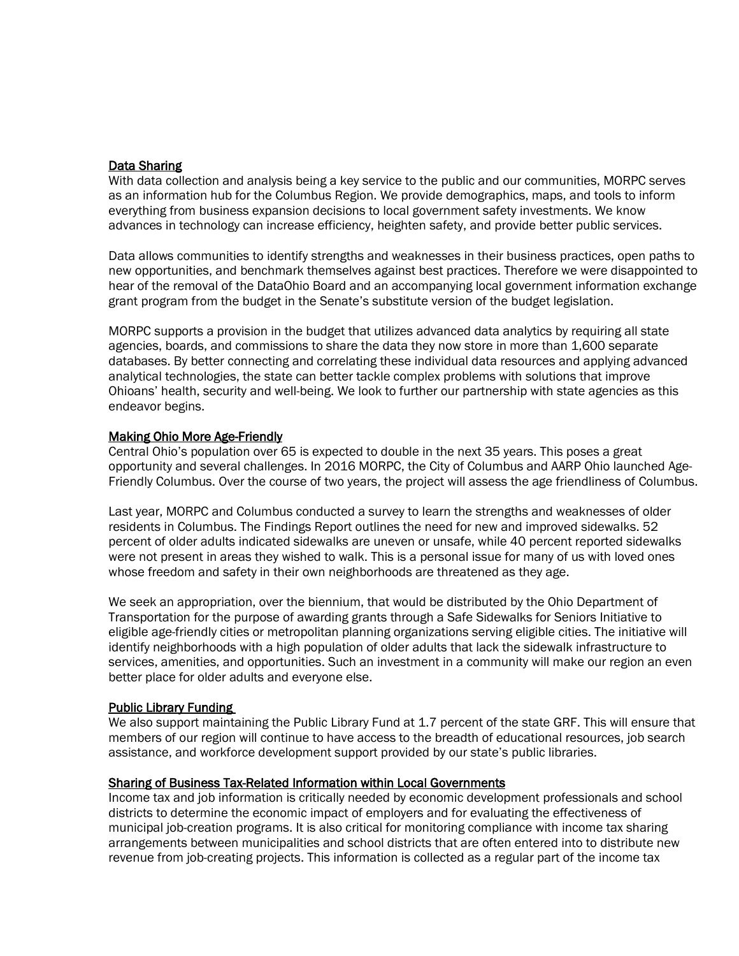# Data Sharing

With data collection and analysis being a key service to the public and our communities, MORPC serves as an information hub for the Columbus Region. We provide demographics, maps, and tools to inform everything from business expansion decisions to local government safety investments. We know advances in technology can increase efficiency, heighten safety, and provide better public services.

Data allows communities to identify strengths and weaknesses in their business practices, open paths to new opportunities, and benchmark themselves against best practices. Therefore we were disappointed to hear of the removal of the DataOhio Board and an accompanying local government information exchange grant program from the budget in the Senate's substitute version of the budget legislation.

MORPC supports a provision in the budget that utilizes advanced data analytics by requiring all state agencies, boards, and commissions to share the data they now store in more than 1,600 separate databases. By better connecting and correlating these individual data resources and applying advanced analytical technologies, the state can better tackle complex problems with solutions that improve Ohioans' health, security and well-being. We look to further our partnership with state agencies as this endeavor begins.

## Making Ohio More Age-Friendly

Central Ohio's population over 65 is expected to double in the next 35 years. This poses a great opportunity and several challenges. In 2016 MORPC, the City of Columbus and AARP Ohio launched Age-Friendly Columbus. Over the course of two years, the project will assess the age friendliness of Columbus.

Last year, MORPC and Columbus conducted a survey to learn the strengths and weaknesses of older residents in Columbus. The Findings Report outlines the need for new and improved sidewalks. 52 percent of older adults indicated sidewalks are uneven or unsafe, while 40 percent reported sidewalks were not present in areas they wished to walk. This is a personal issue for many of us with loved ones whose freedom and safety in their own neighborhoods are threatened as they age.

We seek an appropriation, over the biennium, that would be distributed by the Ohio Department of Transportation for the purpose of awarding grants through a Safe Sidewalks for Seniors Initiative to eligible age-friendly cities or metropolitan planning organizations serving eligible cities. The initiative will identify neighborhoods with a high population of older adults that lack the sidewalk infrastructure to services, amenities, and opportunities. Such an investment in a community will make our region an even better place for older adults and everyone else.

## Public Library Funding

We also support maintaining the Public Library Fund at 1.7 percent of the state GRF. This will ensure that members of our region will continue to have access to the breadth of educational resources, job search assistance, and workforce development support provided by our state's public libraries.

## Sharing of Business Tax-Related Information within Local Governments

Income tax and job information is critically needed by economic development professionals and school districts to determine the economic impact of employers and for evaluating the effectiveness of municipal job-creation programs. It is also critical for monitoring compliance with income tax sharing arrangements between municipalities and school districts that are often entered into to distribute new revenue from job-creating projects. This information is collected as a regular part of the income tax